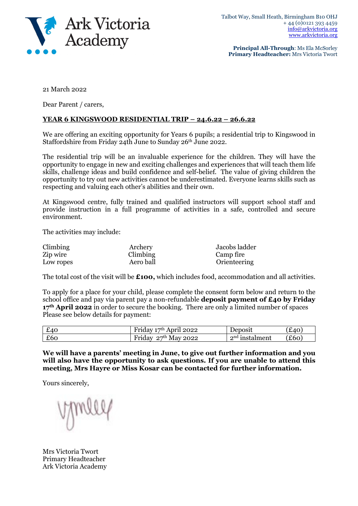

**Principal All-Through**: Ms Ela McSorley **Primary Headteacher:** Mrs Victoria Twort

21 March 2022

Dear Parent / carers,

## **YEAR 6 KINGSWOOD RESIDENTIAL TRIP – 24.6.22 – 26.6.22**

We are offering an exciting opportunity for Years 6 pupils; a residential trip to Kingswood in Staffordshire from Friday 24th June to Sunday 26<sup>th</sup> June 2022.

The residential trip will be an invaluable experience for the children. They will have the opportunity to engage in new and exciting challenges and experiences that will teach them life skills, challenge ideas and build confidence and self-belief. The value of giving children the opportunity to try out new activities cannot be underestimated. Everyone learns skills such as respecting and valuing each other's abilities and their own.

At Kingswood centre, fully trained and qualified instructors will support school staff and provide instruction in a full programme of activities in a safe, controlled and secure environment.

The activities may include:

| Climbing  | Archery   | Jacobs ladder |
|-----------|-----------|---------------|
| Zip wire  | Climbing  | Camp fire     |
| Low ropes | Aero ball | Orienteering  |

The total cost of the visit will be **£100,** which includes food, accommodation and all activities.

To apply for a place for your child, please complete the consent form below and return to the school office and pay via parent pay a non-refundable **deposit payment of £40 by Friday 17th April 2022** in order to secure the booking. There are only a limited number of spaces Please see below details for payment:

| £40 | April 2022<br>FPTC<br>∙ <del>~</del> th<br>l av<br>10<br>111 |                           | $+AC$ |
|-----|--------------------------------------------------------------|---------------------------|-------|
| £60 | <b>May 2022</b><br>Frıdav<br>റ≂ഥ                             | $\Omega$ nd<br>instalment | £60   |

**We will have a parents' meeting in June, to give out further information and you will also have the opportunity to ask questions. If you are unable to attend this meeting, Mrs Hayre or Miss Kosar can be contacted for further information.**

Yours sincerely,

Mrs Victoria Twort Primary Headteacher Ark Victoria Academy